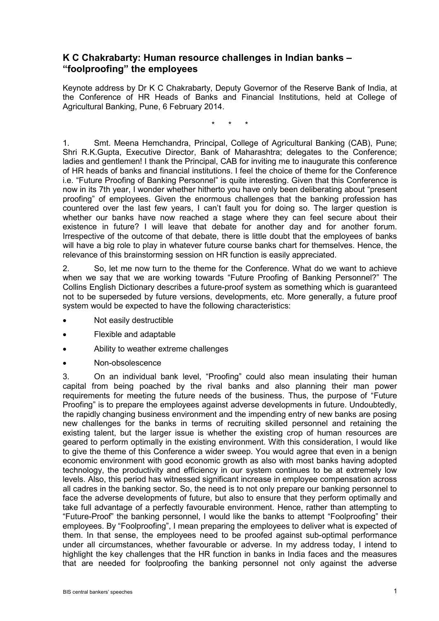# **K C Chakrabarty: Human resource challenges in Indian banks – "foolproofing" the employees**

Keynote address by Dr K C Chakrabarty, Deputy Governor of the Reserve Bank of India, at the Conference of HR Heads of Banks and Financial Institutions, held at College of Agricultural Banking, Pune, 6 February 2014.

\* \* \*

1. Smt. Meena Hemchandra, Principal, College of Agricultural Banking (CAB), Pune; Shri R.K.Gupta, Executive Director, Bank of Maharashtra; delegates to the Conference; ladies and gentlemen! I thank the Principal, CAB for inviting me to inaugurate this conference of HR heads of banks and financial institutions. I feel the choice of theme for the Conference i.e. "Future Proofing of Banking Personnel" is quite interesting. Given that this Conference is now in its 7th year, I wonder whether hitherto you have only been deliberating about "present proofing" of employees. Given the enormous challenges that the banking profession has countered over the last few years, I can't fault you for doing so. The larger question is whether our banks have now reached a stage where they can feel secure about their existence in future? I will leave that debate for another day and for another forum. Irrespective of the outcome of that debate, there is little doubt that the employees of banks will have a big role to play in whatever future course banks chart for themselves. Hence, the relevance of this brainstorming session on HR function is easily appreciated.

2. So, let me now turn to the theme for the Conference. What do we want to achieve when we say that we are working towards "Future Proofing of Banking Personnel?" The Collins English Dictionary describes a future-proof system as something which is guaranteed not to be superseded by future versions, developments, etc. More generally, a future proof system would be expected to have the following characteristics:

- Not easily destructible
- Flexible and adaptable
- Ability to weather extreme challenges
- Non-obsolescence

3. On an individual bank level, "Proofing" could also mean insulating their human capital from being poached by the rival banks and also planning their man power requirements for meeting the future needs of the business. Thus, the purpose of "Future Proofing" is to prepare the employees against adverse developments in future. Undoubtedly, the rapidly changing business environment and the impending entry of new banks are posing new challenges for the banks in terms of recruiting skilled personnel and retaining the existing talent, but the larger issue is whether the existing crop of human resources are geared to perform optimally in the existing environment. With this consideration, I would like to give the theme of this Conference a wider sweep. You would agree that even in a benign economic environment with good economic growth as also with most banks having adopted technology, the productivity and efficiency in our system continues to be at extremely low levels. Also, this period has witnessed significant increase in employee compensation across all cadres in the banking sector. So, the need is to not only prepare our banking personnel to face the adverse developments of future, but also to ensure that they perform optimally and take full advantage of a perfectly favourable environment. Hence, rather than attempting to "Future-Proof" the banking personnel, I would like the banks to attempt "Foolproofing" their employees. By "Foolproofing", I mean preparing the employees to deliver what is expected of them. In that sense, the employees need to be proofed against sub-optimal performance under all circumstances, whether favourable or adverse. In my address today, I intend to highlight the key challenges that the HR function in banks in India faces and the measures that are needed for foolproofing the banking personnel not only against the adverse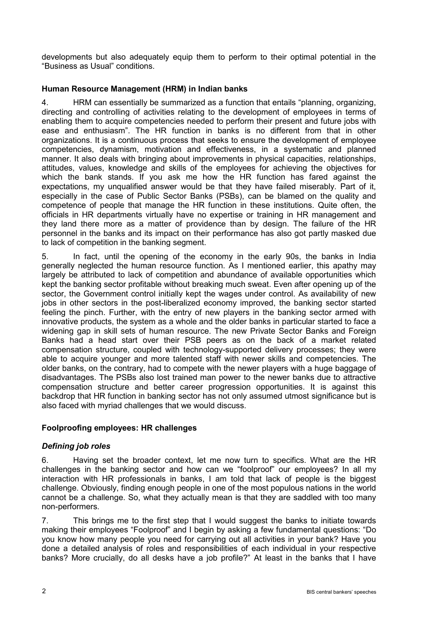developments but also adequately equip them to perform to their optimal potential in the "Business as Usual" conditions.

### **Human Resource Management (HRM) in Indian banks**

4. HRM can essentially be summarized as a function that entails "planning, organizing, directing and controlling of activities relating to the development of employees in terms of enabling them to acquire competencies needed to perform their present and future jobs with ease and enthusiasm". The HR function in banks is no different from that in other organizations. It is a continuous process that seeks to ensure the development of employee competencies, dynamism, motivation and effectiveness, in a systematic and planned manner. It also deals with bringing about improvements in physical capacities, relationships, attitudes, values, knowledge and skills of the employees for achieving the objectives for which the bank stands. If you ask me how the HR function has fared against the expectations, my unqualified answer would be that they have failed miserably. Part of it, especially in the case of Public Sector Banks (PSBs), can be blamed on the quality and competence of people that manage the HR function in these institutions. Quite often, the officials in HR departments virtually have no expertise or training in HR management and they land there more as a matter of providence than by design. The failure of the HR personnel in the banks and its impact on their performance has also got partly masked due to lack of competition in the banking segment.

5. In fact, until the opening of the economy in the early 90s, the banks in India generally neglected the human resource function. As I mentioned earlier, this apathy may largely be attributed to lack of competition and abundance of available opportunities which kept the banking sector profitable without breaking much sweat. Even after opening up of the sector, the Government control initially kept the wages under control. As availability of new jobs in other sectors in the post-liberalized economy improved, the banking sector started feeling the pinch. Further, with the entry of new players in the banking sector armed with innovative products, the system as a whole and the older banks in particular started to face a widening gap in skill sets of human resource. The new Private Sector Banks and Foreign Banks had a head start over their PSB peers as on the back of a market related compensation structure, coupled with technology-supported delivery processes; they were able to acquire younger and more talented staff with newer skills and competencies. The older banks, on the contrary, had to compete with the newer players with a huge baggage of disadvantages. The PSBs also lost trained man power to the newer banks due to attractive compensation structure and better career progression opportunities. It is against this backdrop that HR function in banking sector has not only assumed utmost significance but is also faced with myriad challenges that we would discuss.

## **Foolproofing employees: HR challenges**

### *Defining job roles*

6. Having set the broader context, let me now turn to specifics. What are the HR challenges in the banking sector and how can we "foolproof" our employees? In all my interaction with HR professionals in banks, I am told that lack of people is the biggest challenge. Obviously, finding enough people in one of the most populous nations in the world cannot be a challenge. So, what they actually mean is that they are saddled with too many non-performers.

7. This brings me to the first step that I would suggest the banks to initiate towards making their employees "Foolproof" and I begin by asking a few fundamental questions: "Do you know how many people you need for carrying out all activities in your bank? Have you done a detailed analysis of roles and responsibilities of each individual in your respective banks? More crucially, do all desks have a job profile?" At least in the banks that I have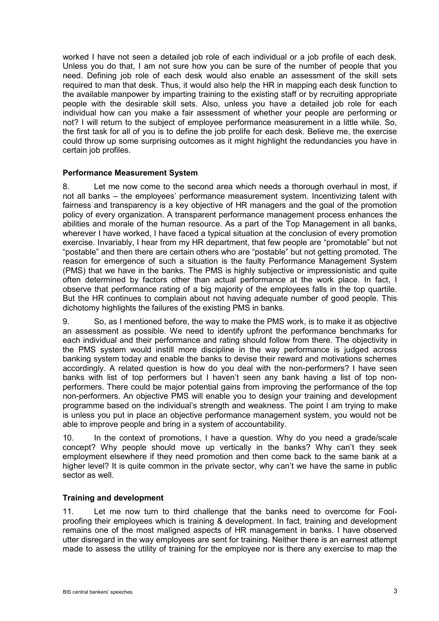worked I have not seen a detailed job role of each individual or a job profile of each desk. Unless you do that, I am not sure how you can be sure of the number of people that you need. Defining job role of each desk would also enable an assessment of the skill sets required to man that desk. Thus, it would also help the HR in mapping each desk function to the available manpower by imparting training to the existing staff or by recruiting appropriate people with the desirable skill sets. Also, unless you have a detailed job role for each individual how can you make a fair assessment of whether your people are performing or not? I will return to the subject of employee performance measurement in a little while. So, the first task for all of you is to define the job prolife for each desk. Believe me, the exercise could throw up some surprising outcomes as it might highlight the redundancies you have in certain job profiles.

#### **Performance Measurement System**

8. Let me now come to the second area which needs a thorough overhaul in most, if not all banks – the employees' performance measurement system. Incentivizing talent with fairness and transparency is a key objective of HR managers and the goal of the promotion policy of every organization. A transparent performance management process enhances the abilities and morale of the human resource. As a part of the Top Management in all banks, wherever I have worked, I have faced a typical situation at the conclusion of every promotion exercise. Invariably, I hear from my HR department, that few people are "promotable" but not "postable" and then there are certain others who are "postable" but not getting promoted. The reason for emergence of such a situation is the faulty Performance Management System (PMS) that we have in the banks. The PMS is highly subjective or impressionistic and quite often determined by factors other than actual performance at the work place. In fact, I observe that performance rating of a big majority of the employees falls in the top quartile. But the HR continues to complain about not having adequate number of good people. This dichotomy highlights the failures of the existing PMS in banks.

9. So, as I mentioned before, the way to make the PMS work, is to make it as objective an assessment as possible. We need to identify upfront the performance benchmarks for each individual and their performance and rating should follow from there. The objectivity in the PMS system would instill more discipline in the way performance is judged across banking system today and enable the banks to devise their reward and motivations schemes accordingly. A related question is how do you deal with the non-performers? I have seen banks with list of top performers but I haven't seen any bank having a list of top nonperformers. There could be major potential gains from improving the performance of the top non-performers. An objective PMS will enable you to design your training and development programme based on the individual's strength and weakness. The point I am trying to make is unless you put in place an objective performance management system, you would not be able to improve people and bring in a system of accountability.

10. In the context of promotions, I have a question. Why do you need a grade/scale concept? Why people should move up vertically in the banks? Why can't they seek employment elsewhere if they need promotion and then come back to the same bank at a higher level? It is quite common in the private sector, why can't we have the same in public sector as well.

### **Training and development**

11. Let me now turn to third challenge that the banks need to overcome for Foolproofing their employees which is training & development. In fact, training and development remains one of the most maligned aspects of HR management in banks. I have observed utter disregard in the way employees are sent for training. Neither there is an earnest attempt made to assess the utility of training for the employee nor is there any exercise to map the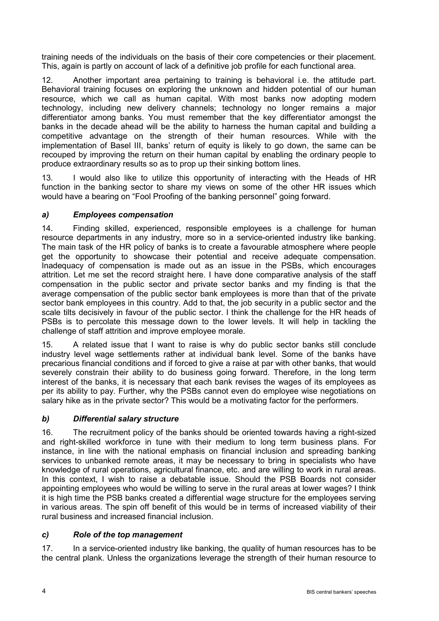training needs of the individuals on the basis of their core competencies or their placement. This, again is partly on account of lack of a definitive job profile for each functional area.

12. Another important area pertaining to training is behavioral i.e. the attitude part. Behavioral training focuses on exploring the unknown and hidden potential of our human resource, which we call as human capital. With most banks now adopting modern technology, including new delivery channels; technology no longer remains a major differentiator among banks. You must remember that the key differentiator amongst the banks in the decade ahead will be the ability to harness the human capital and building a competitive advantage on the strength of their human resources. While with the implementation of Basel III, banks' return of equity is likely to go down, the same can be recouped by improving the return on their human capital by enabling the ordinary people to produce extraordinary results so as to prop up their sinking bottom lines.

13. I would also like to utilize this opportunity of interacting with the Heads of HR function in the banking sector to share my views on some of the other HR issues which would have a bearing on "Fool Proofing of the banking personnel" going forward.

### *a) Employees compensation*

14. Finding skilled, experienced, responsible employees is a challenge for human resource departments in any industry, more so in a service-oriented industry like banking. The main task of the HR policy of banks is to create a favourable atmosphere where people get the opportunity to showcase their potential and receive adequate compensation. Inadequacy of compensation is made out as an issue in the PSBs, which encourages attrition. Let me set the record straight here. I have done comparative analysis of the staff compensation in the public sector and private sector banks and my finding is that the average compensation of the public sector bank employees is more than that of the private sector bank employees in this country. Add to that, the job security in a public sector and the scale tilts decisively in favour of the public sector. I think the challenge for the HR heads of PSBs is to percolate this message down to the lower levels. It will help in tackling the challenge of staff attrition and improve employee morale.

15. A related issue that I want to raise is why do public sector banks still conclude industry level wage settlements rather at individual bank level. Some of the banks have precarious financial conditions and if forced to give a raise at par with other banks, that would severely constrain their ability to do business going forward. Therefore, in the long term interest of the banks, it is necessary that each bank revises the wages of its employees as per its ability to pay. Further, why the PSBs cannot even do employee wise negotiations on salary hike as in the private sector? This would be a motivating factor for the performers.

### *b) Differential salary structure*

16. The recruitment policy of the banks should be oriented towards having a right-sized and right-skilled workforce in tune with their medium to long term business plans. For instance, in line with the national emphasis on financial inclusion and spreading banking services to unbanked remote areas, it may be necessary to bring in specialists who have knowledge of rural operations, agricultural finance, etc. and are willing to work in rural areas. In this context, I wish to raise a debatable issue. Should the PSB Boards not consider appointing employees who would be willing to serve in the rural areas at lower wages? I think it is high time the PSB banks created a differential wage structure for the employees serving in various areas. The spin off benefit of this would be in terms of increased viability of their rural business and increased financial inclusion.

### *c) Role of the top management*

17. In a service-oriented industry like banking, the quality of human resources has to be the central plank. Unless the organizations leverage the strength of their human resource to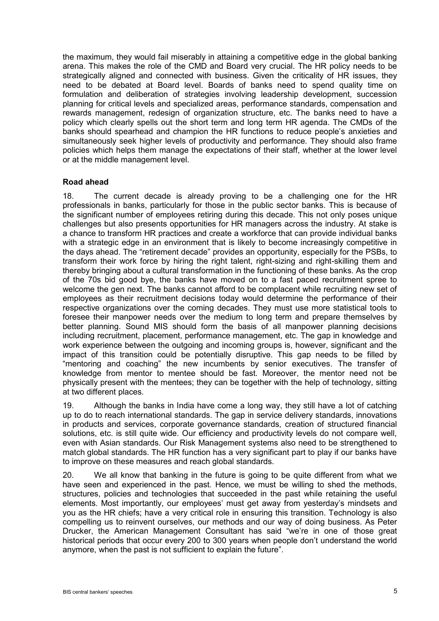the maximum, they would fail miserably in attaining a competitive edge in the global banking arena. This makes the role of the CMD and Board very crucial. The HR policy needs to be strategically aligned and connected with business. Given the criticality of HR issues, they need to be debated at Board level. Boards of banks need to spend quality time on formulation and deliberation of strategies involving leadership development, succession planning for critical levels and specialized areas, performance standards, compensation and rewards management, redesign of organization structure, etc. The banks need to have a policy which clearly spells out the short term and long term HR agenda. The CMDs of the banks should spearhead and champion the HR functions to reduce people's anxieties and simultaneously seek higher levels of productivity and performance. They should also frame policies which helps them manage the expectations of their staff, whether at the lower level or at the middle management level.

### **Road ahead**

18. The current decade is already proving to be a challenging one for the HR professionals in banks, particularly for those in the public sector banks. This is because of the significant number of employees retiring during this decade. This not only poses unique challenges but also presents opportunities for HR managers across the industry. At stake is a chance to transform HR practices and create a workforce that can provide individual banks with a strategic edge in an environment that is likely to become increasingly competitive in the days ahead. The "retirement decade" provides an opportunity, especially for the PSBs, to transform their work force by hiring the right talent, right-sizing and right-skilling them and thereby bringing about a cultural transformation in the functioning of these banks. As the crop of the 70s bid good bye, the banks have moved on to a fast paced recruitment spree to welcome the gen next. The banks cannot afford to be complacent while recruiting new set of employees as their recruitment decisions today would determine the performance of their respective organizations over the coming decades. They must use more statistical tools to foresee their manpower needs over the medium to long term and prepare themselves by better planning. Sound MIS should form the basis of all manpower planning decisions including recruitment, placement, performance management, etc. The gap in knowledge and work experience between the outgoing and incoming groups is, however, significant and the impact of this transition could be potentially disruptive. This gap needs to be filled by "mentoring and coaching" the new incumbents by senior executives. The transfer of knowledge from mentor to mentee should be fast. Moreover, the mentor need not be physically present with the mentees; they can be together with the help of technology, sitting at two different places.

19. Although the banks in India have come a long way, they still have a lot of catching up to do to reach international standards. The gap in service delivery standards, innovations in products and services, corporate governance standards, creation of structured financial solutions, etc. is still quite wide. Our efficiency and productivity levels do not compare well, even with Asian standards. Our Risk Management systems also need to be strengthened to match global standards. The HR function has a very significant part to play if our banks have to improve on these measures and reach global standards.

20. We all know that banking in the future is going to be quite different from what we have seen and experienced in the past. Hence, we must be willing to shed the methods, structures, policies and technologies that succeeded in the past while retaining the useful elements. Most importantly, our employees' must get away from yesterday's mindsets and you as the HR chiefs; have a very critical role in ensuring this transition. Technology is also compelling us to reinvent ourselves, our methods and our way of doing business. As Peter Drucker, the American Management Consultant has said "we're in one of those great historical periods that occur every 200 to 300 years when people don't understand the world anymore, when the past is not sufficient to explain the future".